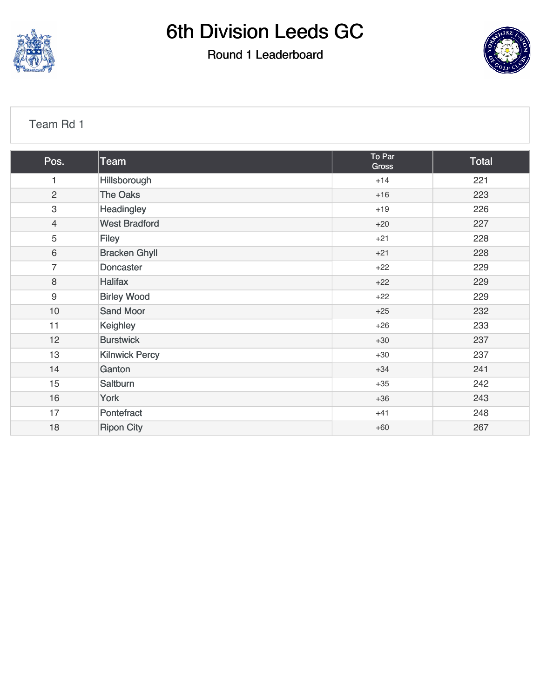

#### Round 1 Leaderboard



#### [Team Rd 1](https://cdn2.golfgenius.com/v2tournaments/7027029472893238064?called_from=&round_index=1)

| Pos.                      | <b>Team</b>           | To Par<br><b>Gross</b> | Total |
|---------------------------|-----------------------|------------------------|-------|
| 1                         | Hillsborough          | $+14$                  | 221   |
| $\overline{2}$            | The Oaks              | $+16$                  | 223   |
| $\ensuremath{\mathsf{3}}$ | Headingley            | $+19$                  | 226   |
| $\overline{4}$            | <b>West Bradford</b>  | $+20$                  | 227   |
| 5                         | <b>Filey</b>          | $+21$                  | 228   |
| $\,6\,$                   | <b>Bracken Ghyll</b>  | $+21$                  | 228   |
| $\overline{7}$            | <b>Doncaster</b>      | $+22$                  | 229   |
| $\,8\,$                   | <b>Halifax</b>        | $+22$                  | 229   |
| 9                         | <b>Birley Wood</b>    | $+22$                  | 229   |
| $10$                      | <b>Sand Moor</b>      | $+25$                  | 232   |
| 11                        | Keighley              | $+26$                  | 233   |
| 12                        | <b>Burstwick</b>      | $+30$                  | 237   |
| 13                        | <b>Kilnwick Percy</b> | $+30$                  | 237   |
| 14                        | Ganton                | $+34$                  | 241   |
| 15                        | Saltburn              | $+35$                  | 242   |
| 16                        | York                  | $+36$                  | 243   |
| 17                        | Pontefract            | $+41$                  | 248   |
| 18                        | <b>Ripon City</b>     | $+60$                  | 267   |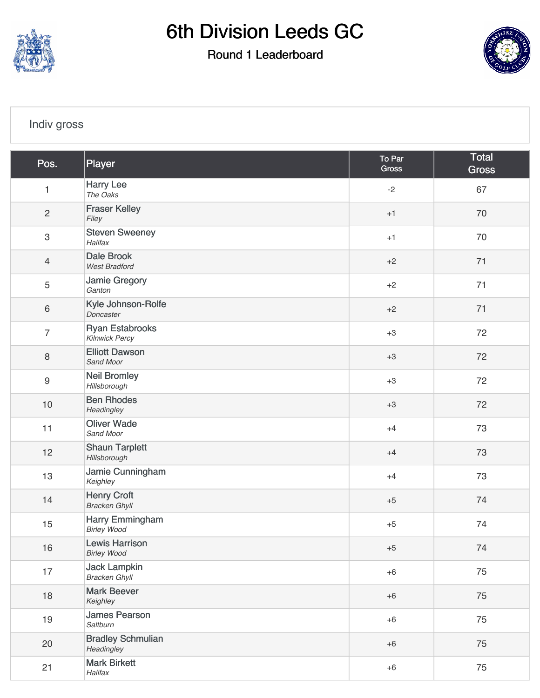

Round 1 Leaderboard



#### [Indiv gross](https://cdn2.golfgenius.com/v2tournaments/7027029487556524849?called_from=&round_index=1)

| Pos.             | Player                                          | To Par<br><b>Gross</b> | <b>Total</b><br><b>Gross</b> |
|------------------|-------------------------------------------------|------------------------|------------------------------|
| $\mathbf{1}$     | <b>Harry Lee</b><br>The Oaks                    | $-2$                   | 67                           |
| $\overline{c}$   | <b>Fraser Kelley</b><br>Filey                   | $+1$                   | 70                           |
| 3                | <b>Steven Sweeney</b><br>Halifax                | $+1$                   | 70                           |
| $\overline{4}$   | <b>Dale Brook</b><br><b>West Bradford</b>       | $+2$                   | 71                           |
| 5                | Jamie Gregory<br>Ganton                         | $+2$                   | 71                           |
| $\,6\,$          | Kyle Johnson-Rolfe<br>Doncaster                 | $+2$                   | 71                           |
| $\overline{7}$   | <b>Ryan Estabrooks</b><br><b>Kilnwick Percy</b> | $+3$                   | 72                           |
| $\,8\,$          | <b>Elliott Dawson</b><br>Sand Moor              | $+3$                   | 72                           |
| $\boldsymbol{9}$ | <b>Neil Bromley</b><br>Hillsborough             | $+3$                   | 72                           |
| 10               | <b>Ben Rhodes</b><br>Headingley                 | $+3$                   | 72                           |
| 11               | <b>Oliver Wade</b><br>Sand Moor                 | $+4$                   | 73                           |
| 12               | <b>Shaun Tarplett</b><br>Hillsborough           | $+4$                   | 73                           |
| 13               | Jamie Cunningham<br>Keighley                    | $+4$                   | 73                           |
| 14               | <b>Henry Croft</b><br><b>Bracken Ghyll</b>      | $+5$                   | 74                           |
| 15               | Harry Emmingham<br><b>Birley Wood</b>           | $+5$                   | 74                           |
| 16               | <b>Lewis Harrison</b><br><b>Birley Wood</b>     | $+5$                   | 74                           |
| 17               | <b>Jack Lampkin</b><br><b>Bracken Ghyll</b>     | $+6$                   | 75                           |
| 18               | <b>Mark Beever</b><br>Keighley                  | $+6$                   | 75                           |
| 19               | <b>James Pearson</b><br>Saltburn                | $+6$                   | 75                           |
| 20               | <b>Bradley Schmulian</b><br>Headingley          | $+6$                   | 75                           |
| 21               | <b>Mark Birkett</b><br>Halifax                  | $+6$                   | 75                           |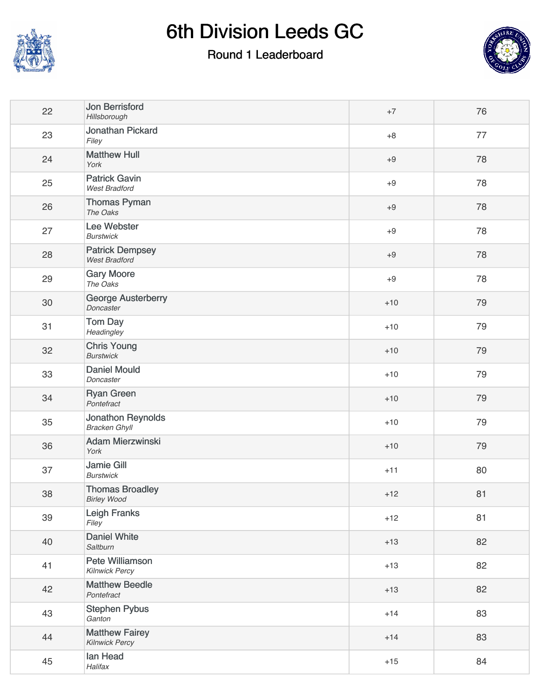

### Round 1 Leaderboard



| 22 | Jon Berrisford<br>Hillsborough                 | $+7$  | 76 |
|----|------------------------------------------------|-------|----|
| 23 | Jonathan Pickard<br>Filey                      | $+8$  | 77 |
| 24 | <b>Matthew Hull</b><br>York                    | $+9$  | 78 |
| 25 | <b>Patrick Gavin</b><br><b>West Bradford</b>   | $+9$  | 78 |
| 26 | <b>Thomas Pyman</b><br>The Oaks                | $+9$  | 78 |
| 27 | Lee Webster<br><b>Burstwick</b>                | $+9$  | 78 |
| 28 | <b>Patrick Dempsey</b><br><b>West Bradford</b> | $+9$  | 78 |
| 29 | <b>Gary Moore</b><br>The Oaks                  | $+9$  | 78 |
| 30 | <b>George Austerberry</b><br>Doncaster         | $+10$ | 79 |
| 31 | Tom Day<br>Headingley                          | $+10$ | 79 |
| 32 | <b>Chris Young</b><br><b>Burstwick</b>         | $+10$ | 79 |
| 33 | <b>Daniel Mould</b><br>Doncaster               | $+10$ | 79 |
| 34 | <b>Ryan Green</b><br>Pontefract                | $+10$ | 79 |
| 35 | Jonathon Reynolds<br><b>Bracken Ghyll</b>      | $+10$ | 79 |
| 36 | <b>Adam Mierzwinski</b><br>York                | $+10$ | 79 |
| 37 | <b>Jamie Gill</b><br><b>Burstwick</b>          | $+11$ | 80 |
| 38 | <b>Thomas Broadley</b><br><b>Birley Wood</b>   | $+12$ | 81 |
| 39 | <b>Leigh Franks</b><br>Filey                   | $+12$ | 81 |
| 40 | <b>Daniel White</b><br>Saltburn                | $+13$ | 82 |
| 41 | Pete Williamson<br>Kilnwick Percy              | $+13$ | 82 |
| 42 | <b>Matthew Beedle</b><br>Pontefract            | $+13$ | 82 |
| 43 | <b>Stephen Pybus</b><br>Ganton                 | $+14$ | 83 |
| 44 | <b>Matthew Fairey</b><br>Kilnwick Percy        | $+14$ | 83 |
| 45 | Ian Head<br>Halifax                            | $+15$ | 84 |